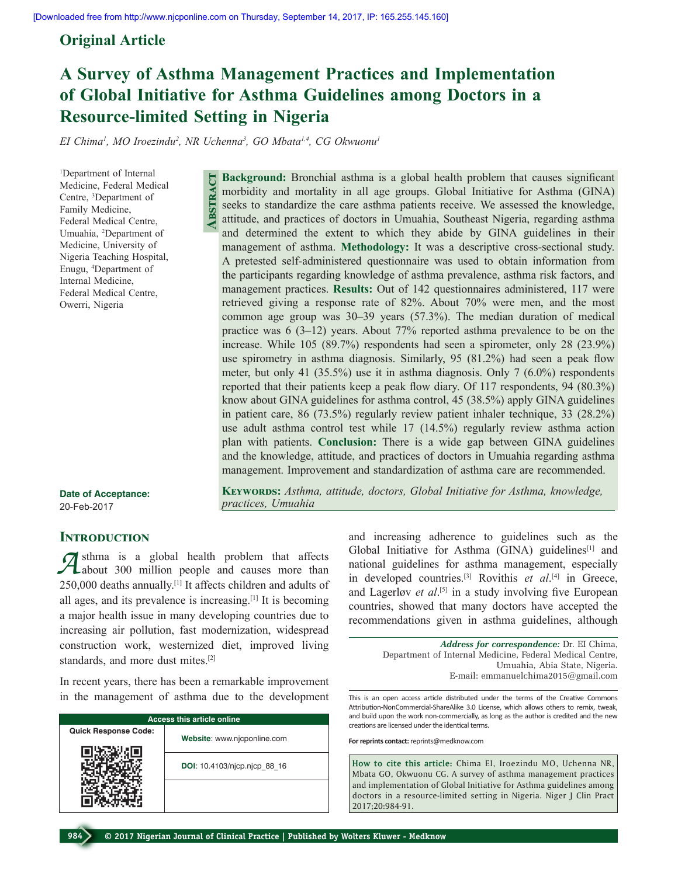# **Original Article**

# **A Survey of Asthma Management Practices and Implementation of Global Initiative for Asthma Guidelines among Doctors in a Resource‑limited Setting in Nigeria**

*EI Chima1 , MO Iroezindu2 , NR Uchenna3 , GO Mbata1,4, CG Okwuonu1*

**Abstract**

1 Department of Internal Medicine, Federal Medical Centre, 3 Department of Family Medicine, Federal Medical Centre, Umuahia, 2 Department of Medicine, University of Nigeria Teaching Hospital, Enugu, 4 Department of Internal Medicine, Federal Medical Centre, Owerri, Nigeria

the participants regarding knowledge of asthma prevalence, asthma risk factors, and management practices. **Results:** Out of 142 questionnaires administered, 117 were retrieved giving a response rate of 82%. About 70% were men, and the most common age group was 30–39 years (57.3%). The median duration of medical practice was 6 (3–12) years. About 77% reported asthma prevalence to be on the increase. While 105 (89.7%) respondents had seen a spirometer, only 28 (23.9%) use spirometry in asthma diagnosis. Similarly, 95 (81.2%) had seen a peak flow meter, but only 41 (35.5%) use it in asthma diagnosis. Only 7 (6.0%) respondents reported that their patients keep a peak flow diary. Of 117 respondents, 94 (80.3%) know about GINA guidelines for asthma control, 45 (38.5%) apply GINA guidelines in patient care, 86 (73.5%) regularly review patient inhaler technique, 33 (28.2%) use adult asthma control test while 17 (14.5%) regularly review asthma action plan with patients. **Conclusion:** There is a wide gap between GINA guidelines and the knowledge, attitude, and practices of doctors in Umuahia regarding asthma management. Improvement and standardization of asthma care are recommended.

**Background:** Bronchial asthma is a global health problem that causes significant morbidity and mortality in all age groups. Global Initiative for Asthma (GINA) seeks to standardize the care asthma patients receive. We assessed the knowledge, attitude, and practices of doctors in Umuahia, Southeast Nigeria, regarding asthma and determined the extent to which they abide by GINA guidelines in their management of asthma. **Methodology:** It was a descriptive cross-sectional study. A pretested self-administered questionnaire was used to obtain information from

**Date of Acceptance:** 20-Feb-2017

## **INTRODUCTION**

**A** sthma is a global health problem that affects about 300 million people and causes more than 250,000 deaths annually.[1] It affects children and adults of all ages, and its prevalence is increasing.[1] It is becoming a major health issue in many developing countries due to increasing air pollution, fast modernization, widespread construction work, westernized diet, improved living standards, and more dust mites.[2]

In recent years, there has been a remarkable improvement in the management of asthma due to the development

| <b>Access this article online</b> |                              |  |  |  |
|-----------------------------------|------------------------------|--|--|--|
| <b>Quick Response Code:</b>       | Website: www.njcponline.com  |  |  |  |
|                                   | DOI: 10.4103/njcp.njcp 88 16 |  |  |  |
|                                   |                              |  |  |  |

and increasing adherence to guidelines such as the Global Initiative for Asthma (GINA) guidelines<sup>[1]</sup> and national guidelines for asthma management, especially in developed countries.[3] Rovithis *et al*. [4] in Greece, and Lagerløv *et al*.<sup>[5]</sup> in a study involving five European countries, showed that many doctors have accepted the recommendations given in asthma guidelines, although

> *Address for correspondence:* Dr. EI Chima, Department of Internal Medicine, Federal Medical Centre, Umuahia, Abia State, Nigeria. E-mail: emmanuelchima2015@gmail.com

This is an open access article distributed under the terms of the Creative Commons Attribution-NonCommercial-ShareAlike 3.0 License, which allows others to remix, tweak, and build upon the work non-commercially, as long as the author is credited and the new creations are licensed under the identical terms.

**For reprints contact:** reprints@medknow.com

KEYWORDS: Asthma, attitude, doctors, Global Initiative for Asthma, knowledge,

**How to cite this article:** Chima EI, Iroezindu MO, Uchenna NR, Mbata GO, Okwuonu CG. A survey of asthma management practices and implementation of Global Initiative for Asthma guidelines among doctors in a resource-limited setting in Nigeria. Niger J Clin Pract 2017;20:984-91.



*practices, Umuahia*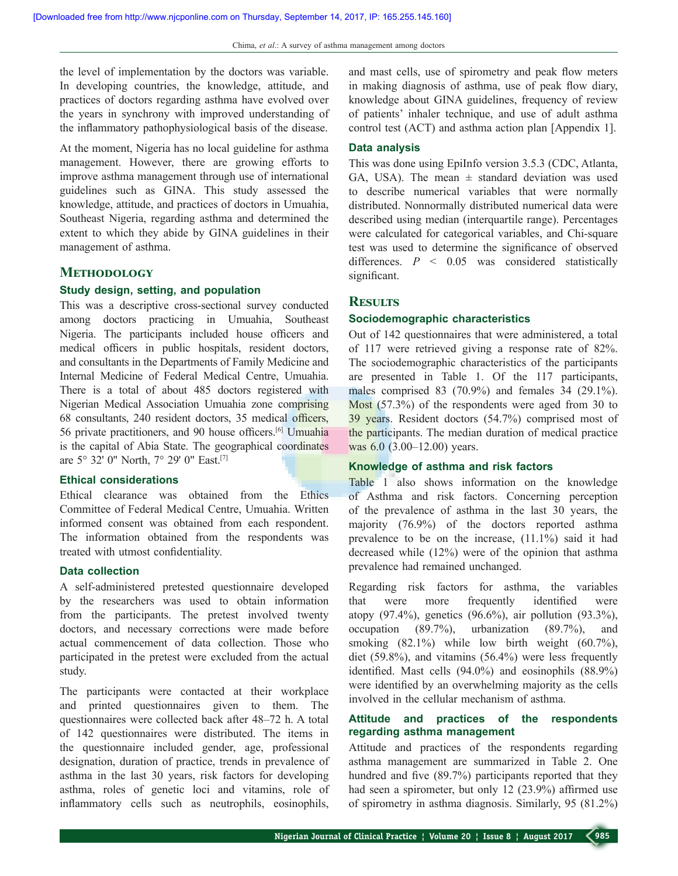the level of implementation by the doctors was variable. In developing countries, the knowledge, attitude, and practices of doctors regarding asthma have evolved over the years in synchrony with improved understanding of the inflammatory pathophysiological basis of the disease.

At the moment, Nigeria has no local guideline for asthma management. However, there are growing efforts to improve asthma management through use of international guidelines such as GINA. This study assessed the knowledge, attitude, and practices of doctors in Umuahia, Southeast Nigeria, regarding asthma and determined the extent to which they abide by GINA guidelines in their management of asthma.

## **Methodology**

## **Study design, setting, and population**

This was a descriptive cross-sectional survey conducted among doctors practicing in Umuahia, Southeast Nigeria. The participants included house officers and medical officers in public hospitals, resident doctors, and consultants in the Departments of Family Medicine and Internal Medicine of Federal Medical Centre, Umuahia. There is a total of about 485 doctors registered with Nigerian Medical Association Umuahia zone comprising 68 consultants, 240 resident doctors, 35 medical officers, 56 private practitioners, and 90 house officers.[6] Umuahia is the capital of Abia State. The geographical coordinates are 5° 32' 0" North, 7° 29' 0" East.[7]

## **Ethical considerations**

Ethical clearance was obtained from the Ethics Committee of Federal Medical Centre, Umuahia. Written informed consent was obtained from each respondent. The information obtained from the respondents was treated with utmost confidentiality.

### **Data collection**

A self-administered pretested questionnaire developed by the researchers was used to obtain information from the participants. The pretest involved twenty doctors, and necessary corrections were made before actual commencement of data collection. Those who participated in the pretest were excluded from the actual study.

The participants were contacted at their workplace and printed questionnaires given to them. The questionnaires were collected back after 48–72 h. A total of 142 questionnaires were distributed. The items in the questionnaire included gender, age, professional designation, duration of practice, trends in prevalence of asthma in the last 30 years, risk factors for developing asthma, roles of genetic loci and vitamins, role of inflammatory cells such as neutrophils, eosinophils,

and mast cells, use of spirometry and peak flow meters in making diagnosis of asthma, use of peak flow diary, knowledge about GINA guidelines, frequency of review of patients' inhaler technique, and use of adult asthma control test (ACT) and asthma action plan [Appendix 1].

## **Data analysis**

This was done using EpiInfo version 3.5.3 (CDC, Atlanta, GA, USA). The mean  $\pm$  standard deviation was used to describe numerical variables that were normally distributed. Nonnormally distributed numerical data were described using median (interquartile range). Percentages were calculated for categorical variables, and Chi-square test was used to determine the significance of observed differences. *P* < 0.05 was considered statistically significant.

### **Results**

## **Sociodemographic characteristics**

Out of 142 questionnaires that were administered, a total of 117 were retrieved giving a response rate of 82%. The sociodemographic characteristics of the participants are presented in Table 1. Of the 117 participants, males comprised 83 (70.9%) and females 34 (29.1%). Most (57.3%) of the respondents were aged from 30 to 39 years. Resident doctors (54.7%) comprised most of the participants. The median duration of medical practice was 6.0 (3.00–12.00) years.

#### **Knowledge of asthma and risk factors**

Table 1 also shows information on the knowledge of Asthma and risk factors. Concerning perception of the prevalence of asthma in the last 30 years, the majority (76.9%) of the doctors reported asthma prevalence to be on the increase, (11.1%) said it had decreased while (12%) were of the opinion that asthma prevalence had remained unchanged.

Regarding risk factors for asthma, the variables that were more frequently identified were atopy (97.4%), genetics (96.6%), air pollution (93.3%), occupation (89.7%), urbanization (89.7%), and smoking  $(82.1\%)$  while low birth weight  $(60.7\%)$ , diet (59.8%), and vitamins (56.4%) were less frequently identified. Mast cells (94.0%) and eosinophils (88.9%) were identified by an overwhelming majority as the cells involved in the cellular mechanism of asthma.

## **Attitude and practices of the respondents regarding asthma management**

Attitude and practices of the respondents regarding asthma management are summarized in Table 2. One hundred and five (89.7%) participants reported that they had seen a spirometer, but only 12 (23.9%) affirmed use of spirometry in asthma diagnosis. Similarly, 95 (81.2%)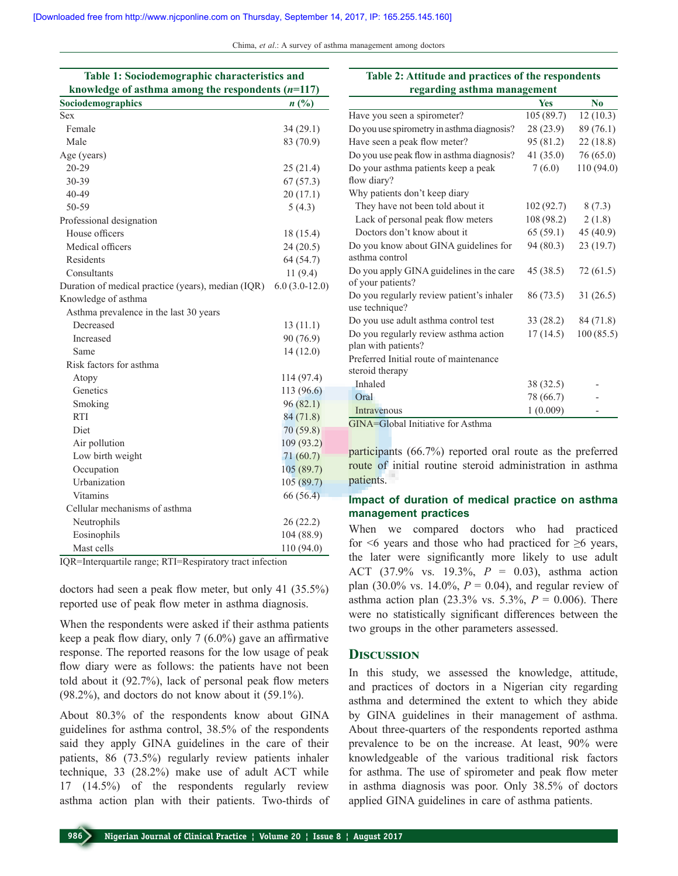Chima, *et al*.: A survey of asthma management among doctors

| Table 1: Sociodemographic characteristics and       |                             |  |  |  |
|-----------------------------------------------------|-----------------------------|--|--|--|
| knowledge of asthma among the respondents $(n=117)$ |                             |  |  |  |
| Sociodemographics                                   | $n\left(\frac{0}{0}\right)$ |  |  |  |
| Sex                                                 |                             |  |  |  |
| Female                                              | 34(29.1)                    |  |  |  |
| Male                                                | 83 (70.9)                   |  |  |  |
| Age (years)                                         |                             |  |  |  |
| 20-29                                               | 25(21.4)                    |  |  |  |
| 30-39                                               | 67(57.3)                    |  |  |  |
| 40-49                                               | 20(17.1)                    |  |  |  |
| 50-59                                               | 5(4.3)                      |  |  |  |
| Professional designation                            |                             |  |  |  |
| House officers                                      | 18 (15.4)                   |  |  |  |
| Medical officers                                    | 24(20.5)                    |  |  |  |
| Residents                                           | 64 (54.7)                   |  |  |  |
| Consultants                                         | 11(9.4)                     |  |  |  |
| Duration of medical practice (years), median (IQR)  | $6.0(3.0-12.0)$             |  |  |  |
| Knowledge of asthma                                 |                             |  |  |  |
| Asthma prevalence in the last 30 years              |                             |  |  |  |
| Decreased                                           | 13(11.1)                    |  |  |  |
| Increased                                           | 90 (76.9)                   |  |  |  |
| Same                                                | 14(12.0)                    |  |  |  |
| Risk factors for asthma                             |                             |  |  |  |
| Atopy                                               | 114 (97.4)                  |  |  |  |
| Genetics                                            | 113 (96.6)                  |  |  |  |
| Smoking                                             | 96(82.1)                    |  |  |  |
| <b>RTI</b>                                          | 84(71.8)                    |  |  |  |
| <b>Diet</b>                                         | 70(59.8)                    |  |  |  |
| Air pollution                                       | 109 (93.2)                  |  |  |  |
| Low birth weight                                    | 71(60.7)                    |  |  |  |
| Occupation                                          | 105(89.7)                   |  |  |  |
| Urbanization                                        | 105(89.7)                   |  |  |  |
| <b>Vitamins</b>                                     | 66 (56.4)                   |  |  |  |
| Cellular mechanisms of asthma                       |                             |  |  |  |
| Neutrophils                                         | 26(22.2)                    |  |  |  |
| Eosinophils                                         | 104 (88.9)                  |  |  |  |
| Mast cells                                          | 110 (94.0)                  |  |  |  |

IQR=Interquartile range; RTI=Respiratory tract infection

doctors had seen a peak flow meter, but only 41 (35.5%) reported use of peak flow meter in asthma diagnosis.

When the respondents were asked if their asthma patients keep a peak flow diary, only 7 (6.0%) gave an affirmative response. The reported reasons for the low usage of peak flow diary were as follows: the patients have not been told about it (92.7%), lack of personal peak flow meters (98.2%), and doctors do not know about it (59.1%).

About 80.3% of the respondents know about GINA guidelines for asthma control, 38.5% of the respondents said they apply GINA guidelines in the care of their patients, 86 (73.5%) regularly review patients inhaler technique, 33 (28.2%) make use of adult ACT while 17 (14.5%) of the respondents regularly review asthma action plan with their patients. Two-thirds of

| regarding asthma management                                 |            |            |  |  |  |
|-------------------------------------------------------------|------------|------------|--|--|--|
|                                                             | <b>Yes</b> | No         |  |  |  |
| Have you seen a spirometer?                                 | 105(89.7)  | 12(10.3)   |  |  |  |
| Do you use spirometry in asthma diagnosis?                  | 28(23.9)   | 89 (76.1)  |  |  |  |
| Have seen a peak flow meter?                                | 95 (81.2)  | 22(18.8)   |  |  |  |
| Do you use peak flow in asthma diagnosis?                   | 41(35.0)   | 76(65.0)   |  |  |  |
| Do your asthma patients keep a peak                         | 7(6.0)     | 110 (94.0) |  |  |  |
| flow diary?                                                 |            |            |  |  |  |
| Why patients don't keep diary                               |            |            |  |  |  |
| They have not been told about it                            | 102(92.7)  | 8(7.3)     |  |  |  |
| Lack of personal peak flow meters                           | 108(98.2)  | 2(1.8)     |  |  |  |
| Doctors don't know about it.                                | 65(59.1)   | 45 (40.9)  |  |  |  |
| Do you know about GINA guidelines for                       | 94 (80.3)  | 23(19.7)   |  |  |  |
| asthma control                                              |            |            |  |  |  |
| Do you apply GINA guidelines in the care                    | 45 (38.5)  | 72 (61.5)  |  |  |  |
| of your patients?                                           |            |            |  |  |  |
| Do you regularly review patient's inhaler<br>use technique? | 86 (73.5)  | 31(26.5)   |  |  |  |
| Do you use adult asthma control test                        | 33 (28.2)  | 84 (71.8)  |  |  |  |
| Do you regularly review asthma action                       | 17(14.5)   | 100(85.5)  |  |  |  |
| plan with patients?                                         |            |            |  |  |  |
| Preferred Initial route of maintenance                      |            |            |  |  |  |
| steroid therapy                                             |            |            |  |  |  |
| Inhaled                                                     | 38 (32.5)  |            |  |  |  |
| Oral                                                        | 78 (66.7)  |            |  |  |  |
| Intravenous                                                 | 1(0.009)   |            |  |  |  |
| GINA=Global Initiative for Asthma                           |            |            |  |  |  |

**Table 2: Attitude and practices of the respondents** 

participants (66.7%) reported oral route as the preferred route of initial routine steroid administration in asthma patients.

## **Impact of duration of medical practice on asthma management practices**

When we compared doctors who had practiced for  $\leq 6$  years and those who had practiced for  $\geq 6$  years, the later were significantly more likely to use adult ACT (37.9% vs. 19.3%, *P* = 0.03), asthma action plan (30.0% vs. 14.0%,  $P = 0.04$ ), and regular review of asthma action plan  $(23.3\% \text{ vs. } 5.3\%, P = 0.006)$ . There were no statistically significant differences between the two groups in the other parameters assessed.

### **Discussion**

In this study, we assessed the knowledge, attitude, and practices of doctors in a Nigerian city regarding asthma and determined the extent to which they abide by GINA guidelines in their management of asthma. About three-quarters of the respondents reported asthma prevalence to be on the increase. At least, 90% were knowledgeable of the various traditional risk factors for asthma. The use of spirometer and peak flow meter in asthma diagnosis was poor. Only 38.5% of doctors applied GINA guidelines in care of asthma patients.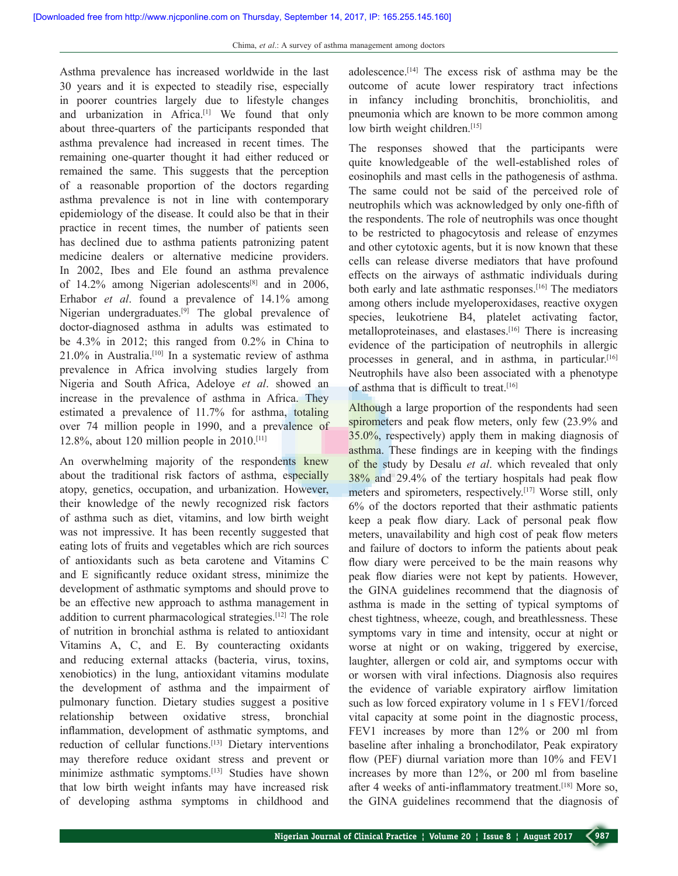Asthma prevalence has increased worldwide in the last 30 years and it is expected to steadily rise, especially in poorer countries largely due to lifestyle changes and urbanization in Africa.[1] We found that only about three-quarters of the participants responded that asthma prevalence had increased in recent times. The remaining one-quarter thought it had either reduced or remained the same. This suggests that the perception of a reasonable proportion of the doctors regarding asthma prevalence is not in line with contemporary epidemiology of the disease. It could also be that in their practice in recent times, the number of patients seen has declined due to asthma patients patronizing patent medicine dealers or alternative medicine providers. In 2002, Ibes and Ele found an asthma prevalence of 14.2% among Nigerian adolescents<sup>[8]</sup> and in 2006, Erhabor *et al*. found a prevalence of 14.1% among Nigerian undergraduates.[9] The global prevalence of doctor-diagnosed asthma in adults was estimated to be 4.3% in 2012; this ranged from 0.2% in China to  $21.0\%$  in Australia.<sup>[10]</sup> In a systematic review of asthma prevalence in Africa involving studies largely from Nigeria and South Africa, Adeloye *et al*. showed an increase in the prevalence of asthma in Africa. They estimated a prevalence of 11.7% for asthma, totaling over 74 million people in 1990, and a prevalence of 12.8%, about 120 million people in  $2010$ .<sup>[11]</sup>

An overwhelming majority of the respondents knew about the traditional risk factors of asthma, especially atopy, genetics, occupation, and urbanization. However, their knowledge of the newly recognized risk factors of asthma such as diet, vitamins, and low birth weight was not impressive. It has been recently suggested that eating lots of fruits and vegetables which are rich sources of antioxidants such as beta carotene and Vitamins C and E significantly reduce oxidant stress, minimize the development of asthmatic symptoms and should prove to be an effective new approach to asthma management in addition to current pharmacological strategies.[12] The role of nutrition in bronchial asthma is related to antioxidant Vitamins A, C, and E. By counteracting oxidants and reducing external attacks (bacteria, virus, toxins, xenobiotics) in the lung, antioxidant vitamins modulate the development of asthma and the impairment of pulmonary function. Dietary studies suggest a positive relationship between oxidative stress, bronchial inflammation, development of asthmatic symptoms, and reduction of cellular functions.[13] Dietary interventions may therefore reduce oxidant stress and prevent or minimize asthmatic symptoms.<sup>[13]</sup> Studies have shown that low birth weight infants may have increased risk of developing asthma symptoms in childhood and

adolescence.[14] The excess risk of asthma may be the outcome of acute lower respiratory tract infections in infancy including bronchitis, bronchiolitis, and pneumonia which are known to be more common among low birth weight children.[15]

The responses showed that the participants were quite knowledgeable of the well-established roles of eosinophils and mast cells in the pathogenesis of asthma. The same could not be said of the perceived role of neutrophils which was acknowledged by only one‑fifth of the respondents. The role of neutrophils was once thought to be restricted to phagocytosis and release of enzymes and other cytotoxic agents, but it is now known that these cells can release diverse mediators that have profound effects on the airways of asthmatic individuals during both early and late asthmatic responses.[16] The mediators among others include myeloperoxidases, reactive oxygen species, leukotriene B4, platelet activating factor, metalloproteinases, and elastases.[16] There is increasing evidence of the participation of neutrophils in allergic processes in general, and in asthma, in particular.<sup>[16]</sup> Neutrophils have also been associated with a phenotype of asthma that is difficult to treat.[16]

Although a large proportion of the respondents had seen spirometers and peak flow meters, only few  $(23.9\%$  and 35.0%, respectively) apply them in making diagnosis of asthma. These findings are in keeping with the findings of the study by Desalu *et al*. which revealed that only 38% and 29.4% of the tertiary hospitals had peak flow meters and spirometers, respectively.[17] Worse still, only 6% of the doctors reported that their asthmatic patients keep a peak flow diary. Lack of personal peak flow meters, unavailability and high cost of peak flow meters and failure of doctors to inform the patients about peak flow diary were perceived to be the main reasons why peak flow diaries were not kept by patients. However, the GINA guidelines recommend that the diagnosis of asthma is made in the setting of typical symptoms of chest tightness, wheeze, cough, and breathlessness. These symptoms vary in time and intensity, occur at night or worse at night or on waking, triggered by exercise, laughter, allergen or cold air, and symptoms occur with or worsen with viral infections. Diagnosis also requires the evidence of variable expiratory airflow limitation such as low forced expiratory volume in 1 s FEV1/forced vital capacity at some point in the diagnostic process, FEV1 increases by more than 12% or 200 ml from baseline after inhaling a bronchodilator, Peak expiratory flow (PEF) diurnal variation more than 10% and FEV1 increases by more than 12%, or 200 ml from baseline after 4 weeks of anti-inflammatory treatment.<sup>[18]</sup> More so, the GINA guidelines recommend that the diagnosis of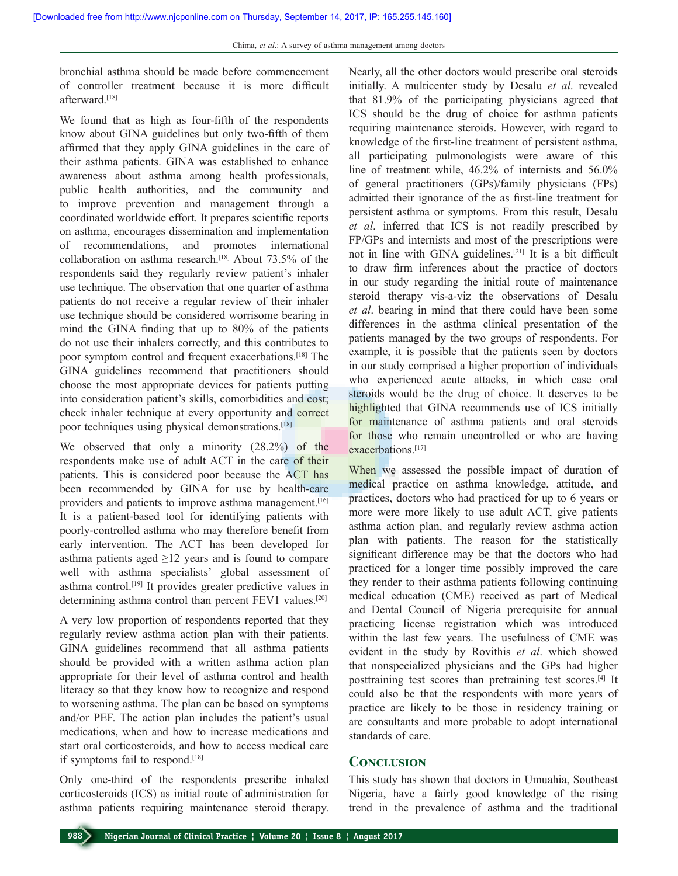bronchial asthma should be made before commencement of controller treatment because it is more difficult afterward<sup>[18]</sup>

We found that as high as four-fifth of the respondents know about GINA guidelines but only two-fifth of them affirmed that they apply GINA guidelines in the care of their asthma patients. GINA was established to enhance awareness about asthma among health professionals, public health authorities, and the community and to improve prevention and management through a coordinated worldwide effort. It prepares scientific reports on asthma, encourages dissemination and implementation of recommendations, and promotes international collaboration on asthma research.<sup>[18]</sup> About  $73.5%$  of the respondents said they regularly review patient's inhaler use technique. The observation that one quarter of asthma patients do not receive a regular review of their inhaler use technique should be considered worrisome bearing in mind the GINA finding that up to 80% of the patients do not use their inhalers correctly, and this contributes to poor symptom control and frequent exacerbations.[18] The GINA guidelines recommend that practitioners should choose the most appropriate devices for patients putting into consideration patient's skills, comorbidities and cost; check inhaler technique at every opportunity and correct poor techniques using physical demonstrations.<sup>[18]</sup>

We observed that only a minority (28.2%) of the respondents make use of adult ACT in the care of their patients. This is considered poor because the ACT has been recommended by GINA for use by health-care providers and patients to improve asthma management.<sup>[16]</sup> It is a patient-based tool for identifying patients with poorly‑controlled asthma who may therefore benefit from early intervention. The ACT has been developed for asthma patients aged  $\geq$ 12 years and is found to compare well with asthma specialists' global assessment of asthma control.[19] It provides greater predictive values in determining asthma control than percent FEV1 values.<sup>[20]</sup>

A very low proportion of respondents reported that they regularly review asthma action plan with their patients. GINA guidelines recommend that all asthma patients should be provided with a written asthma action plan appropriate for their level of asthma control and health literacy so that they know how to recognize and respond to worsening asthma. The plan can be based on symptoms and/or PEF. The action plan includes the patient's usual medications, when and how to increase medications and start oral corticosteroids, and how to access medical care if symptoms fail to respond.[18]

Only one-third of the respondents prescribe inhaled corticosteroids (ICS) as initial route of administration for asthma patients requiring maintenance steroid therapy. Nearly, all the other doctors would prescribe oral steroids initially. A multicenter study by Desalu *et al*. revealed that 81.9% of the participating physicians agreed that ICS should be the drug of choice for asthma patients requiring maintenance steroids. However, with regard to knowledge of the first-line treatment of persistent asthma, all participating pulmonologists were aware of this line of treatment while, 46.2% of internists and 56.0% of general practitioners (GPs)/family physicians (FPs) admitted their ignorance of the as first-line treatment for persistent asthma or symptoms. From this result, Desalu *et al*. inferred that ICS is not readily prescribed by FP/GPs and internists and most of the prescriptions were not in line with GINA guidelines.[21] It is a bit difficult to draw firm inferences about the practice of doctors in our study regarding the initial route of maintenance steroid therapy vis-a-viz the observations of Desalu *et al*. bearing in mind that there could have been some differences in the asthma clinical presentation of the patients managed by the two groups of respondents. For example, it is possible that the patients seen by doctors in our study comprised a higher proportion of individuals who experienced acute attacks, in which case oral steroids would be the drug of choice. It deserves to be highlighted that GINA recommends use of ICS initially for maintenance of asthma patients and oral steroids for those who remain uncontrolled or who are having exacerbations.<sup>[17]</sup>

When we assessed the possible impact of duration of medical practice on asthma knowledge, attitude, and practices, doctors who had practiced for up to 6 years or more were more likely to use adult ACT, give patients asthma action plan, and regularly review asthma action plan with patients. The reason for the statistically significant difference may be that the doctors who had practiced for a longer time possibly improved the care they render to their asthma patients following continuing medical education (CME) received as part of Medical and Dental Council of Nigeria prerequisite for annual practicing license registration which was introduced within the last few years. The usefulness of CME was evident in the study by Rovithis *et al*. which showed that nonspecialized physicians and the GPs had higher posttraining test scores than pretraining test scores.[4] It could also be that the respondents with more years of practice are likely to be those in residency training or are consultants and more probable to adopt international standards of care.

## **Conclusion**

This study has shown that doctors in Umuahia, Southeast Nigeria, have a fairly good knowledge of the rising trend in the prevalence of asthma and the traditional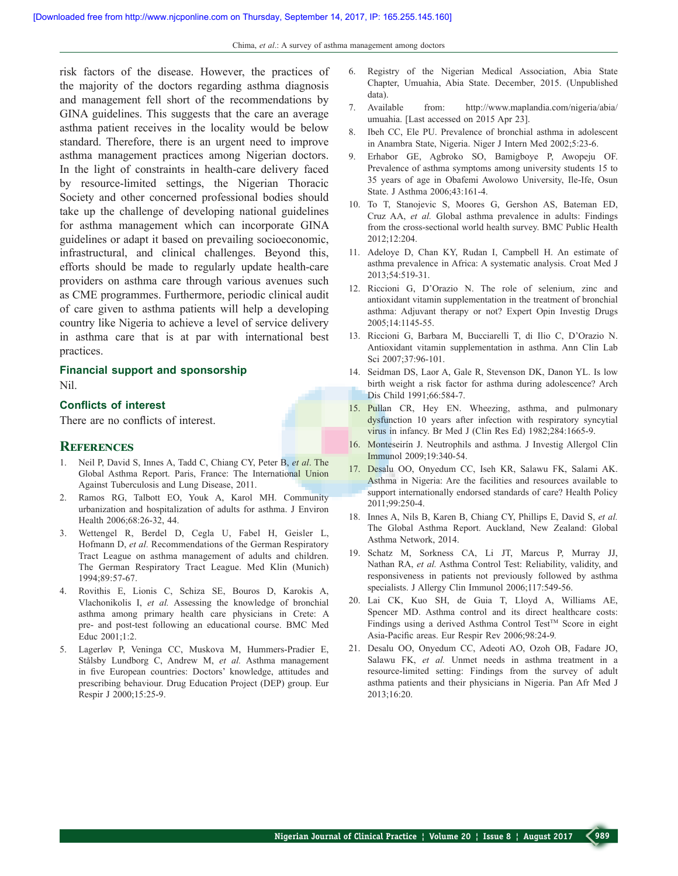Chima, *et al*.: A survey of asthma management among doctors

risk factors of the disease. However, the practices of the majority of the doctors regarding asthma diagnosis and management fell short of the recommendations by GINA guidelines. This suggests that the care an average asthma patient receives in the locality would be below standard. Therefore, there is an urgent need to improve asthma management practices among Nigerian doctors. In the light of constraints in health-care delivery faced by resource-limited settings, the Nigerian Thoracic Society and other concerned professional bodies should take up the challenge of developing national guidelines for asthma management which can incorporate GINA guidelines or adapt it based on prevailing socioeconomic, infrastructural, and clinical challenges. Beyond this, efforts should be made to regularly update health-care providers on asthma care through various avenues such as CME programmes. Furthermore, periodic clinical audit of care given to asthma patients will help a developing country like Nigeria to achieve a level of service delivery in asthma care that is at par with international best practices.

#### **Financial support and sponsorship**

Nil.

### **Conflicts of interest**

There are no conflicts of interest.

## **References**

- 1. Neil P, David S, Innes A, Tadd C, Chiang CY, Peter B, *et al*. The Global Asthma Report. Paris, France: The International Union Against Tuberculosis and Lung Disease, 2011.
- 2. Ramos RG, Talbott EO, Youk A, Karol MH. Community urbanization and hospitalization of adults for asthma. J Environ Health 2006;68:26-32, 44.
- 3. Wettengel R, Berdel D, Cegla U, Fabel H, Geisler L, Hofmann D, *et al.* Recommendations of the German Respiratory Tract League on asthma management of adults and children. The German Respiratory Tract League. Med Klin (Munich) 1994;89:57-67.
- 4. Rovithis E, Lionis C, Schiza SE, Bouros D, Karokis A, Vlachonikolis I, *et al.* Assessing the knowledge of bronchial asthma among primary health care physicians in Crete: A pre- and post-test following an educational course. BMC Med Educ 2001;1:2.
- 5. Lagerløv P, Veninga CC, Muskova M, Hummers-Pradier E, Stålsby Lundborg C, Andrew M, *et al.* Asthma management in five European countries: Doctors' knowledge, attitudes and prescribing behaviour. Drug Education Project (DEP) group. Eur Respir J 2000;15:25-9.
- 6. Registry of the Nigerian Medical Association, Abia State Chapter, Umuahia, Abia State. December, 2015. (Unpublished data).
- 7. Available from: http://www.maplandia.com/nigeria/abia/ umuahia. [Last accessed on 2015 Apr 23].
- 8. Ibeh CC, Ele PU. Prevalence of bronchial asthma in adolescent in Anambra State, Nigeria. Niger J Intern Med 2002;5:23-6.
- 9. Erhabor GE, Agbroko SO, Bamigboye P, Awopeju OF. Prevalence of asthma symptoms among university students 15 to 35 years of age in Obafemi Awolowo University, Ile-Ife, Osun State. J Asthma 2006;43:161-4.
- 10. To T, Stanojevic S, Moores G, Gershon AS, Bateman ED, Cruz AA, *et al.* Global asthma prevalence in adults: Findings from the cross-sectional world health survey. BMC Public Health 2012;12:204.
- 11. Adeloye D, Chan KY, Rudan I, Campbell H. An estimate of asthma prevalence in Africa: A systematic analysis. Croat Med J 2013;54:519-31.
- 12. Riccioni G, D'Orazio N. The role of selenium, zinc and antioxidant vitamin supplementation in the treatment of bronchial asthma: Adjuvant therapy or not? Expert Opin Investig Drugs 2005;14:1145-55.
- 13. Riccioni G, Barbara M, Bucciarelli T, di Ilio C, D'Orazio N. Antioxidant vitamin supplementation in asthma. Ann Clin Lab Sci 2007;37:96-101.
- 14. Seidman DS, Laor A, Gale R, Stevenson DK, Danon YL. Is low birth weight a risk factor for asthma during adolescence? Arch Dis Child 1991;66:584-7.
- 15. Pullan CR, Hey EN. Wheezing, asthma, and pulmonary dysfunction 10 years after infection with respiratory syncytial virus in infancy. Br Med J (Clin Res Ed) 1982;284:1665-9.
- 16. Monteseirín J. Neutrophils and asthma. J Investig Allergol Clin Immunol 2009;19:340-54.
- 17. Desalu OO, Onyedum CC, Iseh KR, Salawu FK, Salami AK. Asthma in Nigeria: Are the facilities and resources available to support internationally endorsed standards of care? Health Policy 2011;99:250-4.
- 18. Innes A, Nils B, Karen B, Chiang CY, Phillips E, David S, *et al.* The Global Asthma Report. Auckland, New Zealand: Global Asthma Network, 2014.
- 19. Schatz M, Sorkness CA, Li JT, Marcus P, Murray JJ, Nathan RA, *et al.* Asthma Control Test: Reliability, validity, and responsiveness in patients not previously followed by asthma specialists. J Allergy Clin Immunol 2006;117:549-56.
- 20. Lai CK, Kuo SH, de Guia T, Lloyd A, Williams AE, Spencer MD. Asthma control and its direct healthcare costs: Findings using a derived Asthma Control Test™ Score in eight Asia‑Pacific areas. Eur Respir Rev 2006;98:24‑9*.*
- 21. Desalu OO, Onyedum CC, Adeoti AO, Ozoh OB, Fadare JO, Salawu FK, *et al.* Unmet needs in asthma treatment in a resource-limited setting: Findings from the survey of adult asthma patients and their physicians in Nigeria. Pan Afr Med J 2013;16:20.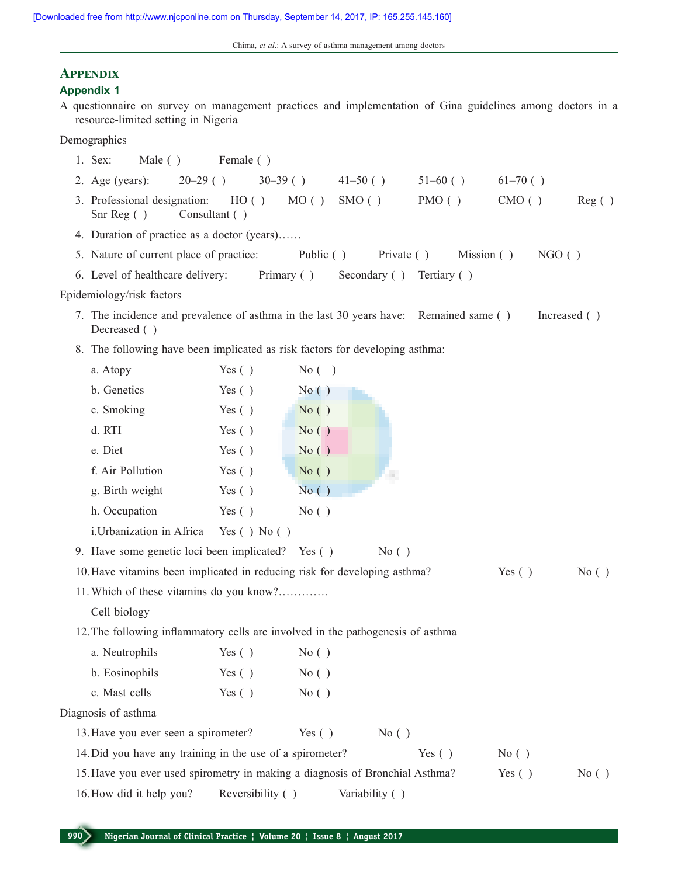# **Appendix**

## **Appendix 1**

A questionnaire on survey on management practices and implementation of Gina guidelines among doctors in a resource-limited setting in Nigeria

Demographics

- 1. Sex: Male ( ) Female ( )
- 2. Age (years): 20–29 ( ) 30–39 ( ) 41–50 ( ) 51–60 ( ) 61–70 ( ) 3. Professional designation: HO ( ) MO ( ) SMO ( ) PMO ( ) CMO ( ) Reg ( ) Snr Reg ( ) Consultant ( )
- 4. Duration of practice as a doctor (years)……
- 5. Nature of current place of practice: Public ( ) Private ( ) Mission ( ) NGO ( )
- 6. Level of healthcare delivery: Primary ( ) Secondary ( ) Tertiary ( )

#### Epidemiology/risk factors

- 7. The incidence and prevalence of asthma in the last 30 years have: Remained same () Increased () Decreased ( )
- 8. The following have been implicated as risk factors for developing asthma:

| a. Atopy                                                  | Yes $( )$          | $No$ $( )$                                                                                         |  |
|-----------------------------------------------------------|--------------------|----------------------------------------------------------------------------------------------------|--|
| b. Genetics                                               | Yes $( )$          | No()                                                                                               |  |
| c. Smoking                                                | Yes $( )$          | No()                                                                                               |  |
| d. RTI                                                    | Yes $( )$          | No()                                                                                               |  |
| e. Diet                                                   | Yes $( )$          | No()                                                                                               |  |
| f. Air Pollution                                          | Yes $( )$          | No()                                                                                               |  |
| g. Birth weight                                           | Yes $( )$          | No()                                                                                               |  |
| h. Occupation                                             | Yes $( )$          | No()                                                                                               |  |
| i.Urbanization in Africa                                  | Yes $( )$ No $( )$ |                                                                                                    |  |
| 9. Have some genetic loci been implicated? Yes ()         |                    | No( )                                                                                              |  |
|                                                           |                    | 10. Have vitamins been implicated in reducing risk for developing asthma?<br>Yes $( )$<br>No( )    |  |
| 11. Which of these vitamins do you know?                  |                    |                                                                                                    |  |
| Cell biology                                              |                    |                                                                                                    |  |
|                                                           |                    | 12. The following inflammatory cells are involved in the pathogenesis of asthma                    |  |
| a. Neutrophils                                            | Yes $( )$          | No()                                                                                               |  |
| b. Eosinophils                                            | Yes $( )$          | No()                                                                                               |  |
| c. Mast cells                                             | Yes $( )$          | No()                                                                                               |  |
| Diagnosis of asthma                                       |                    |                                                                                                    |  |
| 13. Have you ever seen a spirometer?                      |                    | Yes $( )$<br>No( )                                                                                 |  |
| 14. Did you have any training in the use of a spirometer? |                    | Yes $( )$<br>No( )                                                                                 |  |
|                                                           |                    | 15. Have you ever used spirometry in making a diagnosis of Bronchial Asthma?<br>Yes $( )$<br>No( ) |  |
| 16. How did it help you?                                  | Reversibility ()   | Variability ()                                                                                     |  |